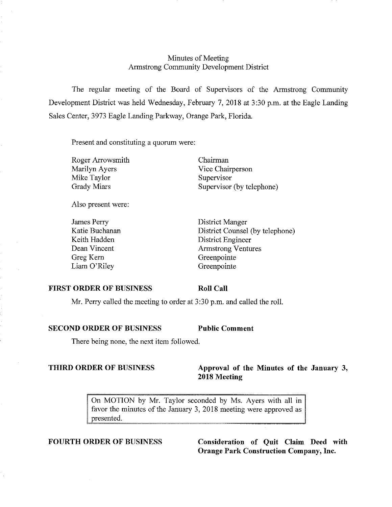# Minutes of Meeting Armstrong Community Development District

The regular meeting of the Board of Supervisors of the Armstrong Community Development District was held Wednesday, February 7, 2018 at 3:30 p.m. at the Eagle Landing Sales Center, 3973 Eagle Landing Parkway, Orange Park, Florida.

Present and constituting a quorum were:

Roger Arrowsmith Marilyn Ayers Mike Taylor Grady Miars

Chairman Vice Chairperson Supervisor Supervisor (by telephone)

Also present were:

James Perry Katie Buchanan Keith Hadden Dean Vincent Greg Kem Liam O'Riley

District Manger District Counsel (by telephone) District Engineer Armstrong Ventures Greenpointe Greenpointe

#### **FIRST ORDER OF BUSINESS**

**Roll Call** 

Mr. Perry called the meeting to order at 3:30 p.m. and called the roll.

# **SECOND ORDER OF BUSINESS Public Comment**

There being none, the next item followed.

# **THIRD ORDER OF BUSINESS** Approval of the Minutes of the January 3, **2018 Meeting**

On MOTION by Mr. Taylor seconded by Ms. Ayers with all in favor the minutes of the January 3, 2018 meeting were approved as presented.

**FOURTH ORDER OF BUSINESS Consideration of Quit Claim Deed with Orange Park Construction Company, Inc.**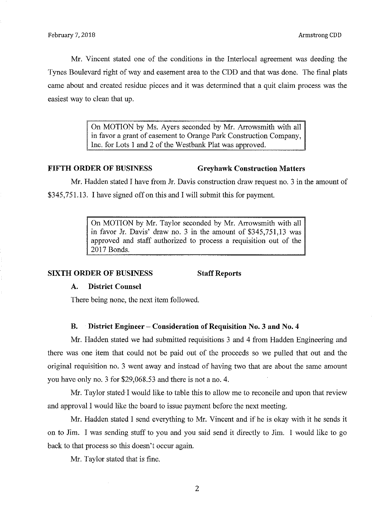Mr. Vincent stated one of the conditions in the Interlocal agreement was deeding the Tynes Boulevard right of way and easement area to the CDD and that was done. The final plats came about and created residue pieces and it was determined that a quit claim process was the easiest way to clean that up.

> On MOTION by Ms. Ayers seconded by Mr. Arrowsmith with all in favor a grant of easement to Orange Park Construction Company, Inc. for Lots 1 and 2 of the Westbank Plat was approved.

#### FIFTH ORDER OF BUSINESS Greyhawk Construction Matters

Mr. Hadden stated I have from Jr. Davis construction draw request no. 3 in the amount of \$345,751.13. I have signed off on this and I will submit this for payment.

> On MOTION by Mr. Taylor seconded by Mr. Arrowsmith with all in favor Jr. Davis' draw no. 3 in the amount of \$345,751,13 was approved and staff authorized to process a requisition out of the 2017 Bonds.

### SIXTH ORDER OF BUSINESS Staff Reports

### A. District Counsel

There being none, the next item followed.

### B. District Engineer - Consideration of Requisition No. 3 and No. 4

Mr. Hadden stated we had submitted requisitions 3 and 4 from Hadden Engineering and there was one item that could not be paid out of the proceeds so we pulled that out and the original requisition no. 3 went away and instead of having two that are about the same amount you have only no. 3 for \$29,068.53 and there is not a no. 4.

Mr. Taylor stated I would like-to table this to allow me to reconcile and upon that review and approval I would like the board to issue payment before the next meeting.

Mr. Hadden stated I send everything to Mr. Vincent and if he is okay with it he sends it on to Jim. I was sending stuff to you and you said send it directly to Jim. I would like to go back to that process so this doesn't occur again.

Mr. Taylor stated that is fine.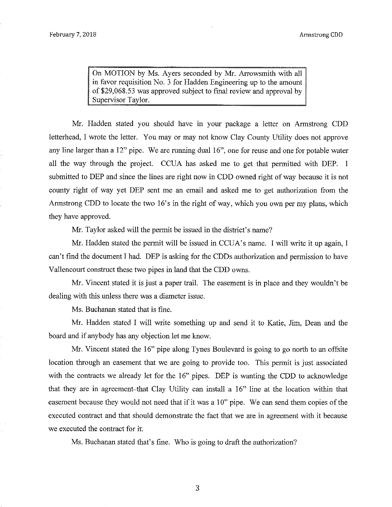On MOTION by Ms. Ayers seconded by Mr. Arrowsmith with all in favor requisition No. 3 for Hadden Engineering up to the amount of \$29,068.53 was approved subject to final review and approval by Supervisor Taylor.

Mr. Hadden stated you should have in your package a letter on Armstrong CDD letterhead, I wrote the letter. You may or may not know Clay County Utility does not approve any line larger than a 12" pipe. We are running dual 16", one for reuse and one for potable water all the way through the project. CCUA has asked me to get that permitted with DEP. I submitted to DEP and since the lines are right now in CDD owned right of way because it is not county right of way yet DEP sent me an email and asked me to get authorization from the Armstrong CDD to locate the two 16's in the right of way, which you own per my plans, which they have approved.

Mr. Taylor asked will the permit be issued in the district's name?

Mr. Hadden stated the permit will be issued in CCUA's name. I will write it up again, I can't find the document I had. DEP is asking for the CDDs authorization and permission to have Vallencourt construct these two pipes in land that the CDD owns.

Mr. Vincent stated it is just a paper trail. The easement is in place and they wouldn't be dealing with this unless there was a diameter issue.

Ms. Buchanan stated that is fine.

Mr. Hadden stated I will write something up and send it to Katie, Jim, Dean and the board and if anybody has any objection let me know.

Mr. Vincent stated the 16" pipe along Tynes Boulevard is going to go north to an offsite location through an easement that we are going to provide too. This permit is just associated with the contracts we already let for the 16" pipes. DEP is wanting the CDD to acknowledge that they are in agreement-that Clay Utility can install a 16" line at the location within that easement because they would not need that if it was a 10" pipe. We can send them copies of the executed contract and that should demonstrate the fact that we are in agreement with it because we executed the contract for it.

Ms. Buchanan stated that's fine. Who is going to draft the authorization?

3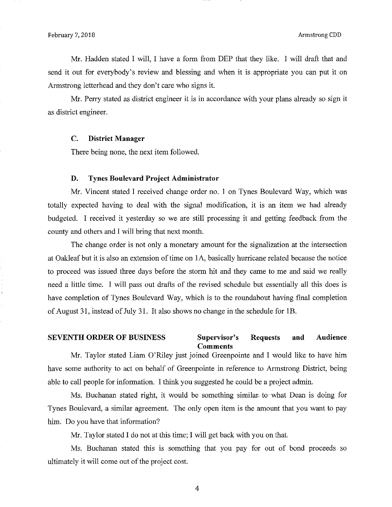Mr. Hadden stated I will, I have a form from DEP that they like. I will draft that and send it out for everybody's review and blessing and when it is appropriate you can put it on Armstrong letterhead and they don't care who signs it.

Mr. Perry stated as district engineer it is in accordance with your plans already so sign it as district engineer.

### C. District Manager

There being none, the next item followed.

#### D. Tynes Boulevard Project Administrator

Mr. Vincent stated I received change order no. 1 on Tynes Boulevard Way, which was totally expected having to deal with the signal modification, it is an item we had already budgeted. I received it yesterday so we are still processing it and getting feedback from the county and others and I will bring that next month.

The change order is not only a monetary amount for the signalization at the intersection at Oakleaf but it is also an extension of time on IA, basically hurricane related because the notice to proceed was issued three days before the storm hit and they came to me and said we really need a little time. I will pass out drafts of the revised schedule but essentially all this does is have completion of Tynes Boulevard Way, which is to the roundabout having final completion of August 31, instead of July 31. It also shows no change in the schedule for 1B.

### SEVENTH ORDER OF BUSINESS Supervisor's Requests and Audience **Comments**

Mr. Taylor stated Liam O'Riley just joined Greenpointe and I would like to have him have some authority to act on behalf of Greenpointe in reference to Armstrong District, being able to call people for information. I think you suggested he could be a project admin.

Ms. Buchanan stated right, it would be something similar- to-what Dean is doing for Tynes Boulevard, a similar agreement. The only open item is the amount that you want to pay him. Do you have that information?

Mr. Taylor stated I do not at this time; I will get back with you on that.

Ms. Buchanan stated this is something that you pay for out of bond proceeds so ultimately it will come out of the project cost.

4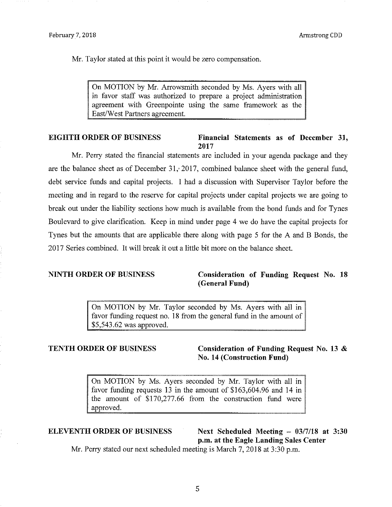Mr. Taylor stated at this point it would be zero compensation.

On MOTION by Mr. Arrowsmith seconded by Ms. Ayers with all in favor staff was authorized to prepare a project administration agreement with Greenpointe using the same framework as the East/West Partners agreement.

#### EIGHTH ORDER OF BUSINESS Financial Statements as of December 31, 2017

Mr. Perry stated the financial statements are included in your agenda package and they are the balance sheet as of December 31, 2017, combined balance sheet with the general fund, debt service funds and capital projects. I had a discussion with Supervisor Taylor before the meeting and in regard to the reserve for capital projects under capital projects we are going to break out under the liability sections how much is available from the bond funds and for Tynes Boulevard to give clarification. Keep in mind under page 4 we do have the capital projects for Tynes but the amounts that are applicable there along with page 5 for the A and B Bonds, the 2017 Series combined. It will break it out a little bit more on the balance sheet.

# NINTH ORDER OF BUSINESS Consideration of Funding Request No. 18 (General Fund)

On MOTION by Mr. Taylor seconded by Ms. Ayers with all in favor funding request no. 18 from the general fund in the amount of \$5,543.62 was approved.

TENTH ORDER OF BUSINESS Consideration of Funding Request No. 13 & No. 14 (Construction Fund)

> On MOTION by Ms. Ayers seconded by Mr. Taylor with all in favor funding requests 13 in the amount of \$163,604.96 and 14 in the amount of \$170,277.66 from the construction fund were approved.

ELEVENTH ORDER OF BUSINESS Next Scheduled Meeting - 03/7/18 at 3:30 p.m. at the Eagle Landing Sales Center

Mr. Perry stated our next scheduled meeting is March 7, 2018 at 3:30 p.m.